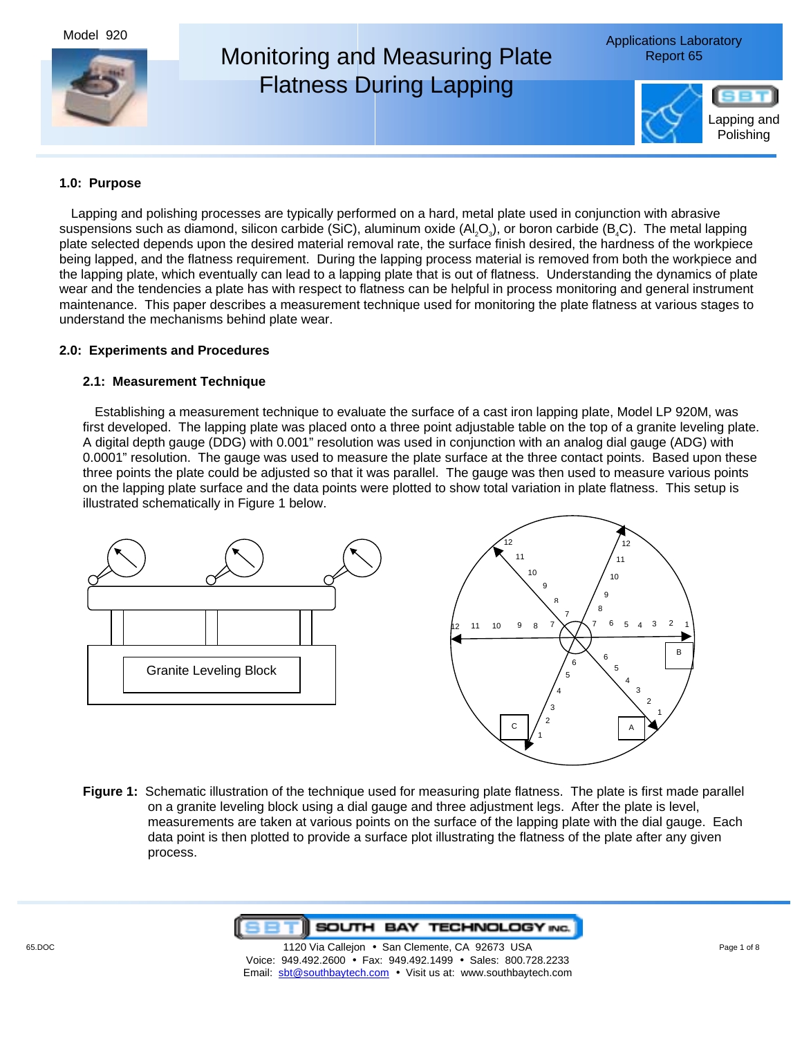Model 920



## **1.0: Purpose**

Lapping and polishing processes are typically performed on a hard, metal plate used in conjunction with abrasive suspensions such as diamond, silicon carbide (SiC), aluminum oxide  $(A, Q_3)$ , or boron carbide (B<sub>4</sub>C). The metal lapping plate selected depends upon the desired material removal rate, the surface finish desired, the hardness of the workpiece being lapped, and the flatness requirement. During the lapping process material is removed from both the workpiece and the lapping plate, which eventually can lead to a lapping plate that is out of flatness. Understanding the dynamics of plate wear and the tendencies a plate has with respect to flatness can be helpful in process monitoring and general instrument maintenance. This paper describes a measurement technique used for monitoring the plate flatness at various stages to understand the mechanisms behind plate wear.

### **2.0: Experiments and Procedures**

### **2.1: Measurement Technique**

Establishing a measurement technique to evaluate the surface of a cast iron lapping plate, Model LP 920M, was first developed. The lapping plate was placed onto a three point adjustable table on the top of a granite leveling plate. A digital depth gauge (DDG) with 0.001" resolution was used in conjunction with an analog dial gauge (ADG) with 0.0001" resolution. The gauge was used to measure the plate surface at the three contact points. Based upon these three points the plate could be adjusted so that it was parallel. The gauge was then used to measure various points on the lapping plate surface and the data points were plotted to show total variation in plate flatness. This setup is illustrated schematically in Figure 1 below.



**Figure 1:** Schematic illustration of the technique used for measuring plate flatness. The plate is first made parallel on a granite leveling block using a dial gauge and three adjustment legs. After the plate is level, measurements are taken at various points on the surface of the lapping plate with the dial gauge. Each data point is then plotted to provide a surface plot illustrating the flatness of the plate after any given process.



65.DOC **120 Via Callejon • San Clemente, CA 92673 USA** Page 1 of 8 Page 1 of 8 Voice: 949.492.2600 • Fax: 949.492.1499 • Sales: 800.728.2233 Email: sbt@southbaytech.com • Visit us at: www.southbaytech.com

B

2 1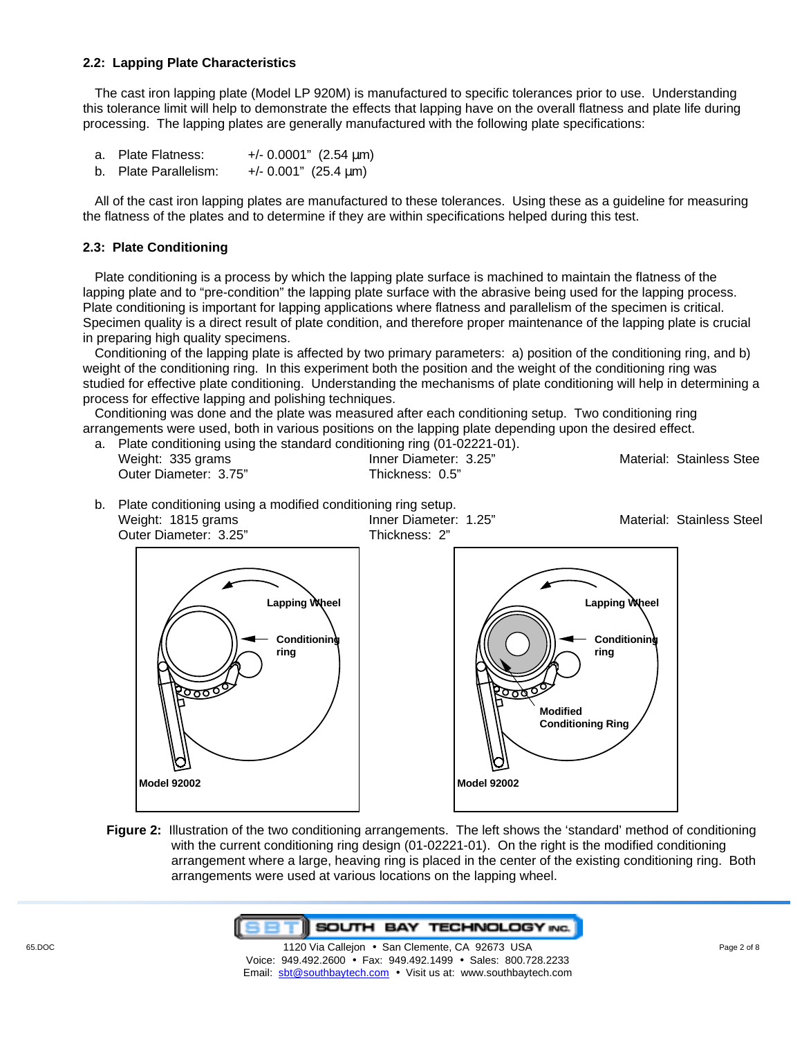### **2.2: Lapping Plate Characteristics**

The cast iron lapping plate (Model LP 920M) is manufactured to specific tolerances prior to use. Understanding this tolerance limit will help to demonstrate the effects that lapping have on the overall flatness and plate life during processing. The lapping plates are generally manufactured with the following plate specifications:

- a. Plate Flatness:  $+/- 0.0001"$  (2.54  $\mu$ m)
- b. Plate Parallelism:  $+/- 0.001$ " (25.4  $\mu$ m)

All of the cast iron lapping plates are manufactured to these tolerances. Using these as a guideline for measuring the flatness of the plates and to determine if they are within specifications helped during this test.

# **2.3: Plate Conditioning**

Plate conditioning is a process by which the lapping plate surface is machined to maintain the flatness of the lapping plate and to "pre-condition" the lapping plate surface with the abrasive being used for the lapping process. Plate conditioning is important for lapping applications where flatness and parallelism of the specimen is critical. Specimen quality is a direct result of plate condition, and therefore proper maintenance of the lapping plate is crucial in preparing high quality specimens.

Conditioning of the lapping plate is affected by two primary parameters: a) position of the conditioning ring, and b) weight of the conditioning ring. In this experiment both the position and the weight of the conditioning ring was studied for effective plate conditioning. Understanding the mechanisms of plate conditioning will help in determining a process for effective lapping and polishing techniques.

Conditioning was done and the plate was measured after each conditioning setup. Two conditioning ring arrangements were used, both in various positions on the lapping plate depending upon the desired effect.

| a. Plate conditioning using the standard conditioning ring (01-02221-01). |                       |                          |
|---------------------------------------------------------------------------|-----------------------|--------------------------|
| Weight: 335 grams                                                         | Inner Diameter: 3.25" | Material: Stainless Stee |
| Outer Diameter: 3.75"                                                     | Thickness: 0.5"       |                          |

b. Plate conditioning using a modified conditioning ring setup.



**Figure 2:** Illustration of the two conditioning arrangements. The left shows the 'standard' method of conditioning with the current conditioning ring design (01-02221-01). On the right is the modified conditioning arrangement where a large, heaving ring is placed in the center of the existing conditioning ring. Both arrangements were used at various locations on the lapping wheel.

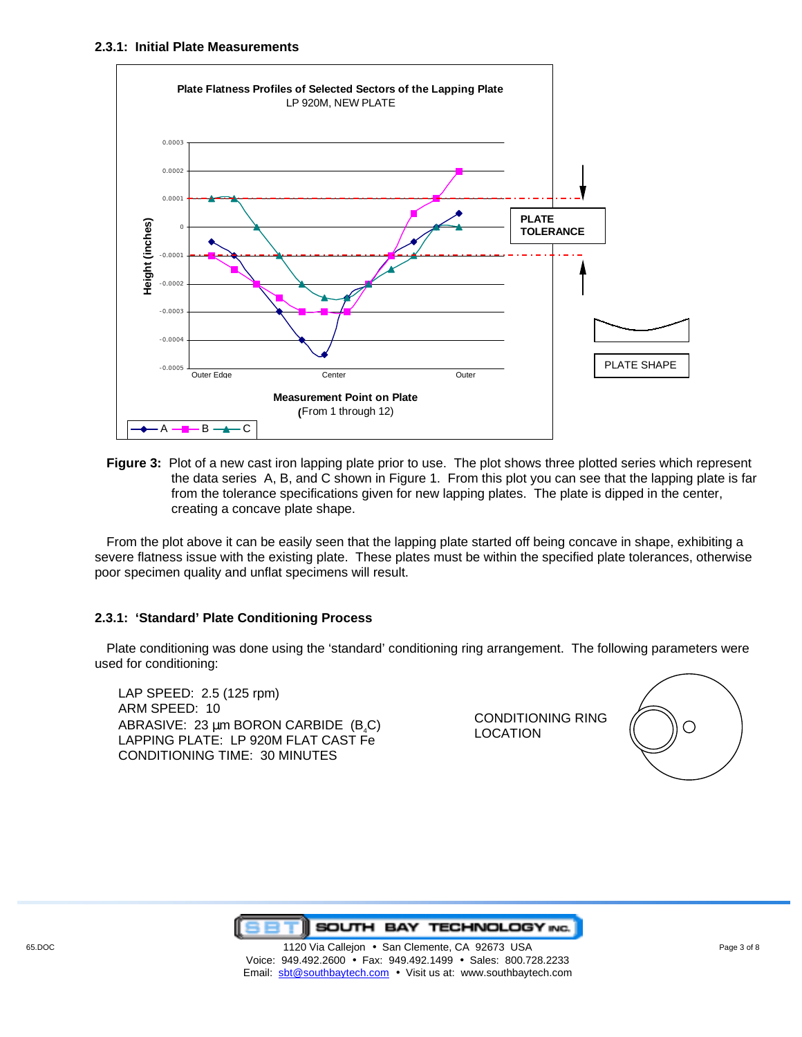

**Figure 3:** Plot of a new cast iron lapping plate prior to use. The plot shows three plotted series which represent the data series A, B, and C shown in Figure 1. From this plot you can see that the lapping plate is far from the tolerance specifications given for new lapping plates. The plate is dipped in the center, creating a concave plate shape.

From the plot above it can be easily seen that the lapping plate started off being concave in shape, exhibiting a severe flatness issue with the existing plate. These plates must be within the specified plate tolerances, otherwise poor specimen quality and unflat specimens will result.

## **2.3.1: 'Standard' Plate Conditioning Process**

Plate conditioning was done using the 'standard' conditioning ring arrangement. The following parameters were used for conditioning:

LAP SPEED: 2.5 (125 rpm) ARM SPEED: 10 ABRASIVE: 23  $\mu$ m BORON CARBIDE (B<sub>4</sub>C) LAPPING PLATE: LP 920M FLAT CAST Fe CONDITIONING TIME: 30 MINUTES

CONDITIONING RING LOCATION



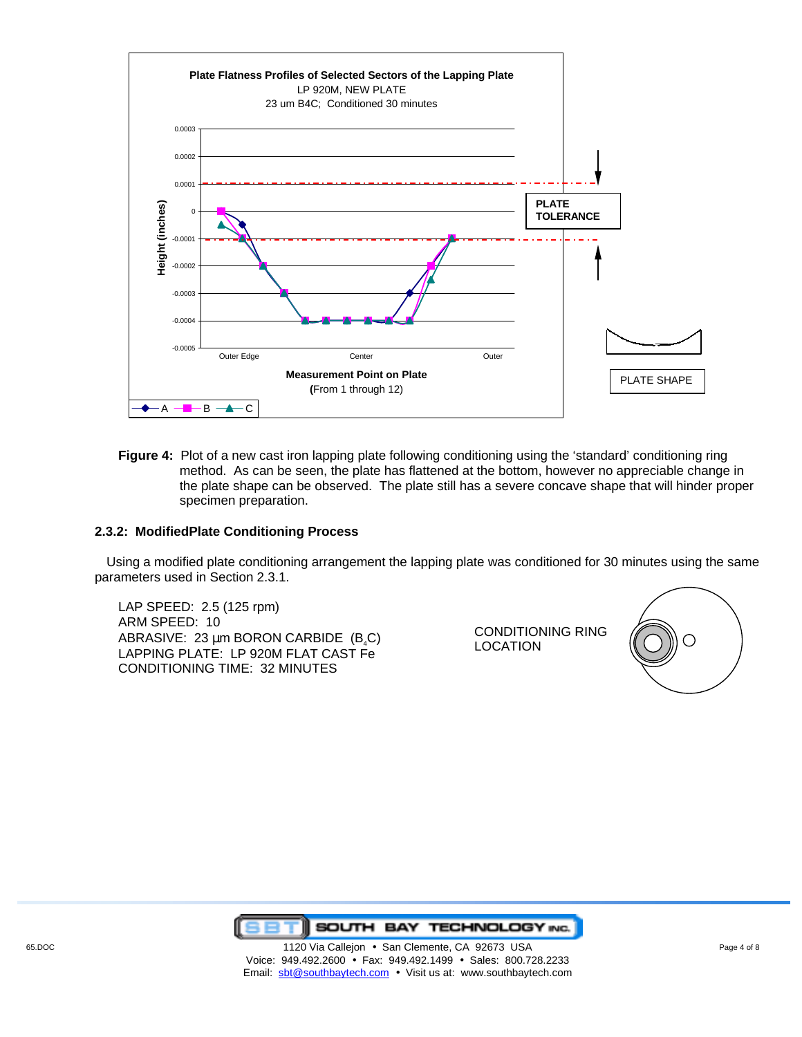

**Figure 4:** Plot of a new cast iron lapping plate following conditioning using the 'standard' conditioning ring method. As can be seen, the plate has flattened at the bottom, however no appreciable change in the plate shape can be observed. The plate still has a severe concave shape that will hinder proper specimen preparation.

#### **2.3.2: ModifiedPlate Conditioning Process**

Using a modified plate conditioning arrangement the lapping plate was conditioned for 30 minutes using the same parameters used in Section 2.3.1.

LAP SPEED: 2.5 (125 rpm) ARM SPEED: 10 ABRASIVE: 23  $\mu$ m BORON CARBIDE (B<sub>a</sub>C) LAPPING PLATE: LP 920M FLAT CAST Fe CONDITIONING TIME: 32 MINUTES

CONDITIONING RING LOCATION



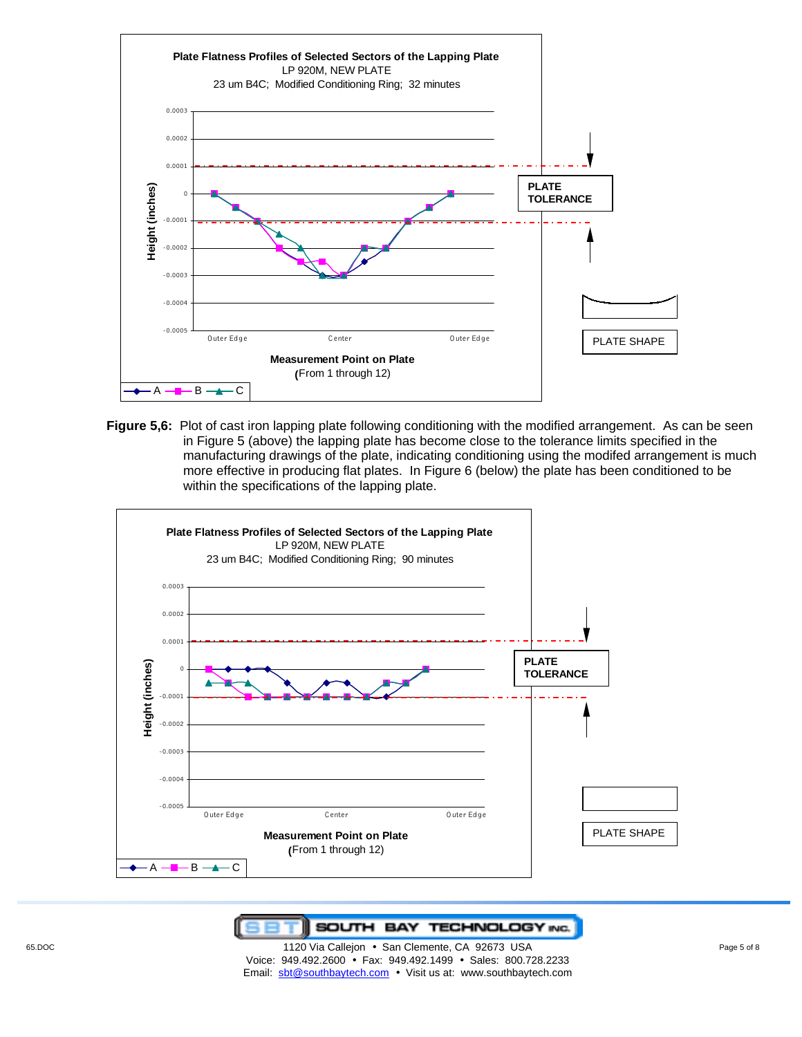

**Figure 5,6:** Plot of cast iron lapping plate following conditioning with the modified arrangement. As can be seen in Figure 5 (above) the lapping plate has become close to the tolerance limits specified in the manufacturing drawings of the plate, indicating conditioning using the modifed arrangement is much more effective in producing flat plates. In Figure 6 (below) the plate has been conditioned to be within the specifications of the lapping plate.



**T** SOUTH BAY TECHNOLOGY INC. F

65.DOC **120 Via Callejon • San Clemente, CA 92673 USA** Page 5 of 8 Page 5 of 8 Voice: 949.492.2600 • Fax: 949.492.1499 • Sales: 800.728.2233 Email: sbt@southbaytech.com • Visit us at: www.southbaytech.com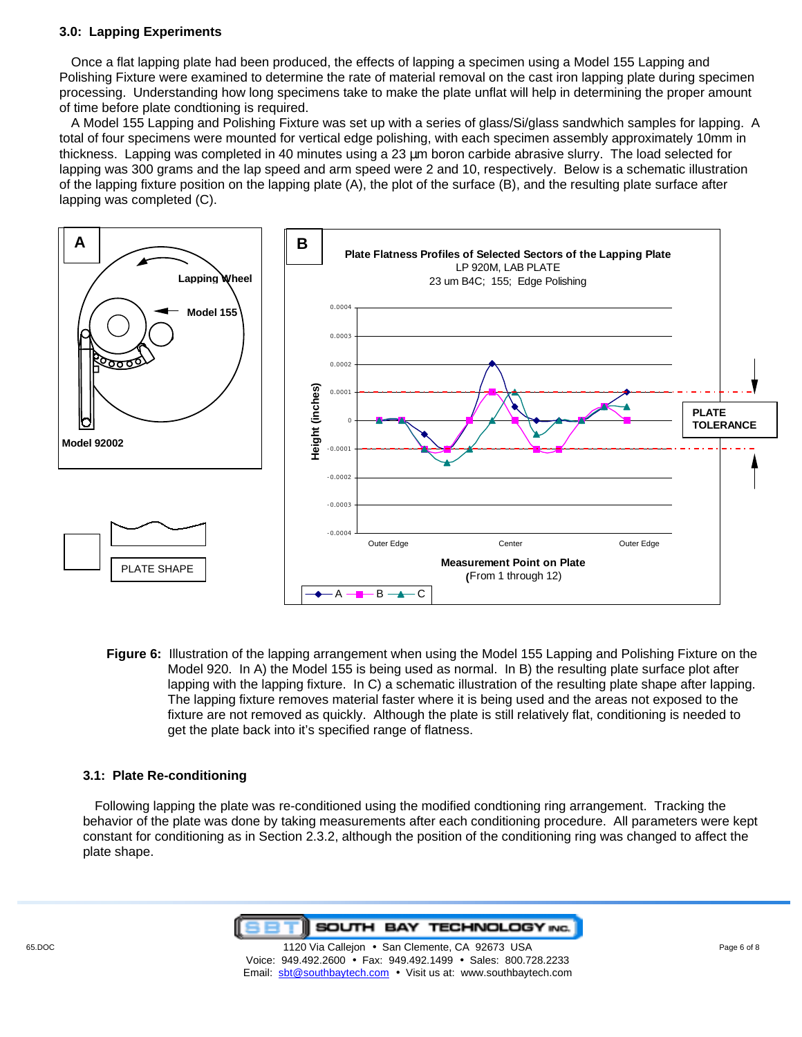### **3.0: Lapping Experiments**

Once a flat lapping plate had been produced, the effects of lapping a specimen using a Model 155 Lapping and Polishing Fixture were examined to determine the rate of material removal on the cast iron lapping plate during specimen processing. Understanding how long specimens take to make the plate unflat will help in determining the proper amount of time before plate condtioning is required.

A Model 155 Lapping and Polishing Fixture was set up with a series of glass/Si/glass sandwhich samples for lapping. A total of four specimens were mounted for vertical edge polishing, with each specimen assembly approximately 10mm in thickness. Lapping was completed in 40 minutes using a 23 µm boron carbide abrasive slurry. The load selected for lapping was 300 grams and the lap speed and arm speed were 2 and 10, respectively. Below is a schematic illustration of the lapping fixture position on the lapping plate (A), the plot of the surface (B), and the resulting plate surface after lapping was completed (C).



**Figure 6:** Illustration of the lapping arrangement when using the Model 155 Lapping and Polishing Fixture on the Model 920. In A) the Model 155 is being used as normal. In B) the resulting plate surface plot after lapping with the lapping fixture. In C) a schematic illustration of the resulting plate shape after lapping. The lapping fixture removes material faster where it is being used and the areas not exposed to the fixture are not removed as quickly. Although the plate is still relatively flat, conditioning is needed to get the plate back into it's specified range of flatness.

#### **3.1: Plate Re-conditioning**

Following lapping the plate was re-conditioned using the modified condtioning ring arrangement. Tracking the behavior of the plate was done by taking measurements after each conditioning procedure. All parameters were kept constant for conditioning as in Section 2.3.2, although the position of the conditioning ring was changed to affect the plate shape.

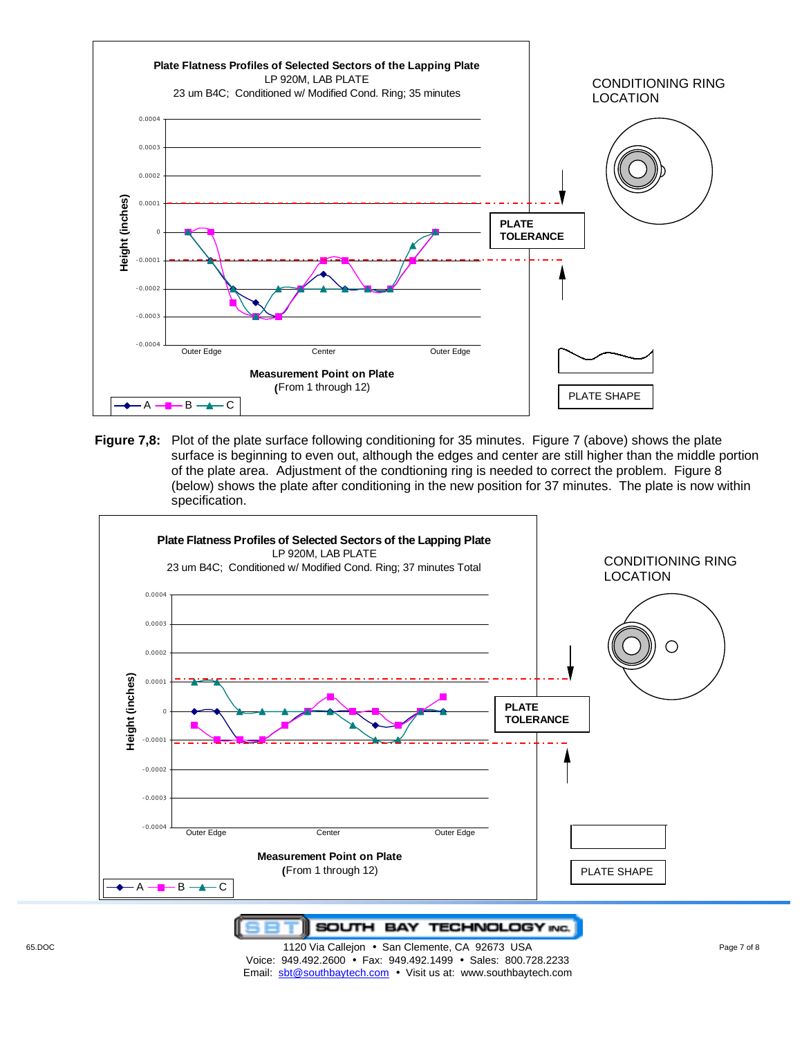

**Figure 7,8:** Plot of the plate surface following conditioning for 35 minutes. Figure 7 (above) shows the plate surface is beginning to even out, although the edges and center are still higher than the middle portion of the plate area. Adjustment of the condtioning ring is needed to correct the problem. Figure 8 (below) shows the plate after conditioning in the new position for 37 minutes. The plate is now within specification.



**T SOUTH BAY TECHNOLOGY INC.** 

65.DOC **120 Via Callejon • San Clemente, CA 92673 USA** Page 7 of 8 Page 7 of 8 Voice: 949.492.2600 • Fax: 949.492.1499 • Sales: 800.728.2233 Email: sbt@southbaytech.com • Visit us at: www.southbaytech.com